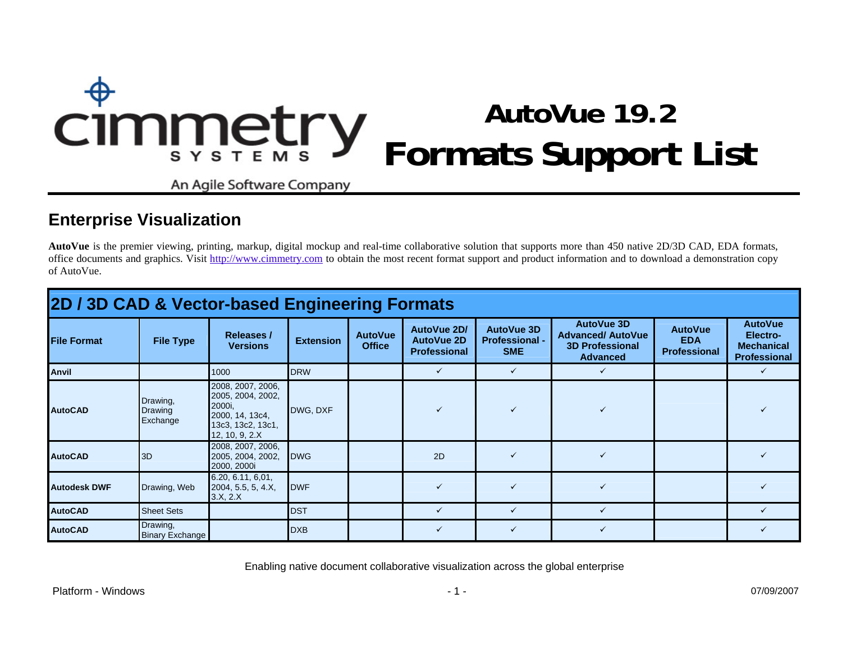# **AutoVue 19.2**  Cimmetry **Formats Support List**

An Agile Software Company

## **Enterprise Visualization**

**AutoVue** is the premier viewing, printing, markup, digital mockup and real-time collaborative solution that supports more than 450 native 2D/3D CAD, EDA formats, office documents and graphics. Visit [http://www.cimmetry.com](http://www.cimmetry.com/) to obtain the most recent format support and product information and to download a demonstration copy of AutoVue.

| 2D / 3D CAD & Vector-based Engineering Formats |                                        |                                                                                                            |                  |                                 |                                                         |                                                          |                                                                                     |                                                     |                                                                        |  |  |  |
|------------------------------------------------|----------------------------------------|------------------------------------------------------------------------------------------------------------|------------------|---------------------------------|---------------------------------------------------------|----------------------------------------------------------|-------------------------------------------------------------------------------------|-----------------------------------------------------|------------------------------------------------------------------------|--|--|--|
| <b>File Format</b>                             | <b>File Type</b>                       | <b>Releases /</b><br><b>Versions</b>                                                                       | <b>Extension</b> | <b>AutoVue</b><br><b>Office</b> | AutoVue 2D/<br><b>AutoVue 2D</b><br><b>Professional</b> | <b>AutoVue 3D</b><br><b>Professional -</b><br><b>SME</b> | AutoVue 3D<br><b>Advanced/ AutoVue</b><br><b>3D Professional</b><br><b>Advanced</b> | <b>AutoVue</b><br><b>EDA</b><br><b>Professional</b> | <b>AutoVue</b><br>Electro-<br><b>Mechanical</b><br><b>Professional</b> |  |  |  |
| <b>Anvil</b>                                   |                                        | 1000                                                                                                       | <b>DRW</b>       |                                 | ✓                                                       | $\checkmark$                                             |                                                                                     |                                                     |                                                                        |  |  |  |
| <b>AutoCAD</b>                                 | Drawing,<br><b>Drawing</b><br>Exchange | 2008, 2007, 2006,<br>2005, 2004, 2002,<br>2000i,<br>2000, 14, 13c4,<br>13c3, 13c2, 13c1,<br>12, 10, 9, 2.X | DWG, DXF         |                                 |                                                         |                                                          |                                                                                     |                                                     |                                                                        |  |  |  |
| <b>AutoCAD</b>                                 | 3D                                     | 2008, 2007, 2006,<br>2005, 2004, 2002,<br>2000, 2000i                                                      | <b>IDWG</b>      |                                 | 2D                                                      |                                                          |                                                                                     |                                                     |                                                                        |  |  |  |
| <b>Autodesk DWF</b>                            | Drawing, Web                           | 6.20, 6.11, 6.01,<br>2004, 5.5, 5, 4.X,<br>3.X, 2.X                                                        | <b>IDWF</b>      |                                 | $\checkmark$                                            | $\checkmark$                                             | ✓                                                                                   |                                                     |                                                                        |  |  |  |
| <b>AutoCAD</b>                                 | <b>Sheet Sets</b>                      |                                                                                                            | <b>DST</b>       |                                 | $\checkmark$                                            | $\checkmark$                                             |                                                                                     |                                                     |                                                                        |  |  |  |
| <b>AutoCAD</b>                                 | Drawing,<br><b>Binary Exchange</b>     |                                                                                                            | <b>DXB</b>       |                                 |                                                         | ✓                                                        |                                                                                     |                                                     |                                                                        |  |  |  |

Enabling native document collaborative visualization across the global enterprise

Platform - Windows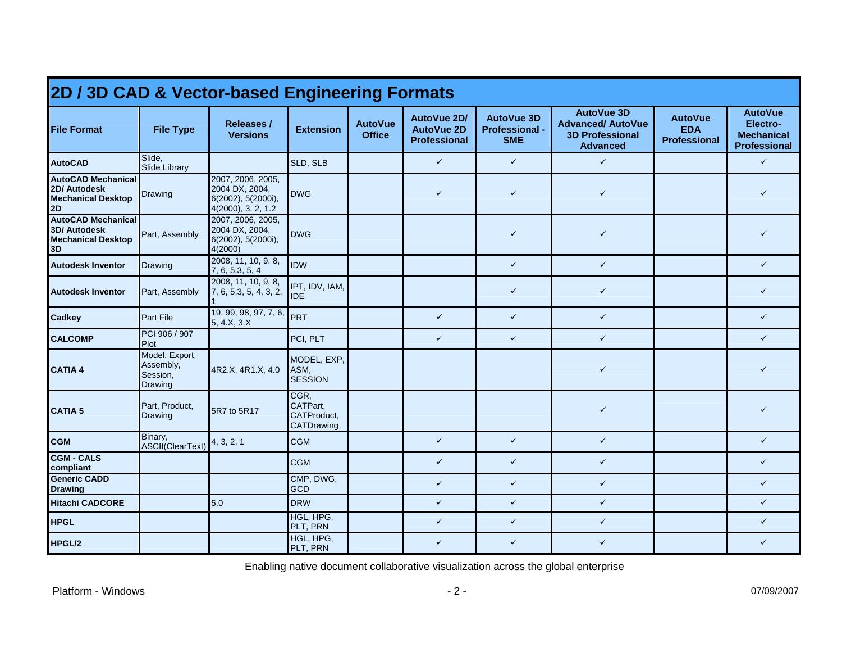| 2D / 3D CAD & Vector-based Engineering Formats                                      |                                                           |                                                                                 |                                               |                                 |                                                         |                                                          |                                                                                            |                                                     |                                                                        |  |  |  |
|-------------------------------------------------------------------------------------|-----------------------------------------------------------|---------------------------------------------------------------------------------|-----------------------------------------------|---------------------------------|---------------------------------------------------------|----------------------------------------------------------|--------------------------------------------------------------------------------------------|-----------------------------------------------------|------------------------------------------------------------------------|--|--|--|
| <b>File Format</b>                                                                  | <b>File Type</b>                                          | <b>Releases /</b><br><b>Versions</b>                                            | <b>Extension</b>                              | <b>AutoVue</b><br><b>Office</b> | AutoVue 2D/<br><b>AutoVue 2D</b><br><b>Professional</b> | <b>AutoVue 3D</b><br><b>Professional -</b><br><b>SME</b> | <b>AutoVue 3D</b><br><b>Advanced/ AutoVue</b><br><b>3D Professional</b><br><b>Advanced</b> | <b>AutoVue</b><br><b>EDA</b><br><b>Professional</b> | <b>AutoVue</b><br>Electro-<br><b>Mechanical</b><br><b>Professional</b> |  |  |  |
| <b>AutoCAD</b>                                                                      | Slide,<br><b>Slide Library</b>                            |                                                                                 | SLD, SLB                                      |                                 | $\checkmark$                                            | $\checkmark$                                             | $\checkmark$                                                                               |                                                     | $\checkmark$                                                           |  |  |  |
| <b>AutoCAD Mechanical</b><br>2D/ Autodesk<br><b>Mechanical Desktop</b><br>2D        | Drawing                                                   | 2007, 2006, 2005,<br>2004 DX, 2004,<br>6(2002), 5(2000i),<br>4(2000), 3, 2, 1.2 | <b>DWG</b>                                    |                                 | $\checkmark$                                            | $\checkmark$                                             | $\checkmark$                                                                               |                                                     | ✓                                                                      |  |  |  |
| <b>AutoCAD Mechanical</b><br><b>3D/ Autodesk</b><br><b>Mechanical Desktop</b><br>3D | Part, Assembly                                            | 2007, 2006, 2005,<br>2004 DX, 2004,<br>6(2002), 5(2000i),<br>4(2000)            | <b>DWG</b>                                    |                                 |                                                         | $\checkmark$                                             | $\checkmark$                                                                               |                                                     | ✓                                                                      |  |  |  |
| <b>Autodesk Inventor</b>                                                            | <b>Drawing</b>                                            | 2008, 11, 10, 9, 8,<br>7, 6, 5.3, 5, 4                                          | <b>IDW</b>                                    |                                 |                                                         | $\checkmark$                                             | $\checkmark$                                                                               |                                                     | ✓                                                                      |  |  |  |
| <b>Autodesk Inventor</b>                                                            | Part, Assembly                                            | 2008, 11, 10, 9, 8,<br>7, 6, 5.3, 5, 4, 3, 2,                                   | IPT, IDV, IAM,<br><b>IDE</b>                  |                                 |                                                         | $\checkmark$                                             | $\checkmark$                                                                               |                                                     | $\checkmark$                                                           |  |  |  |
| <b>Cadkey</b>                                                                       | <b>Part File</b>                                          | 19, 99, 98, 97, 7, 6,<br>5, 4.X, 3.X                                            | PRT                                           |                                 | $\checkmark$                                            | $\checkmark$                                             | $\checkmark$                                                                               |                                                     | $\checkmark$                                                           |  |  |  |
| <b>CALCOMP</b>                                                                      | PCI 906 / 907<br>Plot                                     |                                                                                 | PCI, PLT                                      |                                 | $\checkmark$                                            | $\checkmark$                                             | $\checkmark$                                                                               |                                                     | $\checkmark$                                                           |  |  |  |
| <b>CATIA 4</b>                                                                      | Model, Export,<br>Assembly,<br>Session,<br><b>Drawing</b> | 4R2.X, 4R1.X, 4.0                                                               | MODEL, EXP,<br>ASM,<br><b>SESSION</b>         |                                 |                                                         |                                                          | $\checkmark$                                                                               |                                                     | ✓                                                                      |  |  |  |
| <b>CATIA 5</b>                                                                      | Part, Product,<br><b>Drawing</b>                          | 5R7 to 5R17                                                                     | CGR,<br>CATPart.<br>CATProduct,<br>CATDrawing |                                 |                                                         |                                                          | $\checkmark$                                                                               |                                                     | ✓                                                                      |  |  |  |
| <b>CGM</b>                                                                          | Binary,<br>ASCII(ClearText)                               | 4, 3, 2, 1                                                                      | <b>CGM</b>                                    |                                 | $\checkmark$                                            | $\checkmark$                                             | $\checkmark$                                                                               |                                                     | $\checkmark$                                                           |  |  |  |
| <b>CGM - CALS</b><br>compliant                                                      |                                                           |                                                                                 | <b>CGM</b>                                    |                                 | $\checkmark$                                            | $\checkmark$                                             | $\checkmark$                                                                               |                                                     | $\checkmark$                                                           |  |  |  |
| <b>Generic CADD</b><br><b>Drawing</b>                                               |                                                           |                                                                                 | CMP, DWG,<br><b>GCD</b>                       |                                 | $\checkmark$                                            | $\checkmark$                                             | $\checkmark$                                                                               |                                                     | $\checkmark$                                                           |  |  |  |
| <b>Hitachi CADCORE</b>                                                              |                                                           | 5.0                                                                             | <b>DRW</b>                                    |                                 | $\checkmark$                                            | $\checkmark$                                             | $\checkmark$                                                                               |                                                     | $\checkmark$                                                           |  |  |  |
| <b>HPGL</b>                                                                         |                                                           |                                                                                 | HGL, HPG,<br>PLT, PRN                         |                                 | $\checkmark$                                            | $\checkmark$                                             | $\checkmark$                                                                               |                                                     | $\checkmark$                                                           |  |  |  |
| HPGL/2                                                                              |                                                           |                                                                                 | HGL, HPG,<br>PLT, PRN                         |                                 | $\checkmark$                                            | $\checkmark$                                             | $\checkmark$                                                                               |                                                     | $\checkmark$                                                           |  |  |  |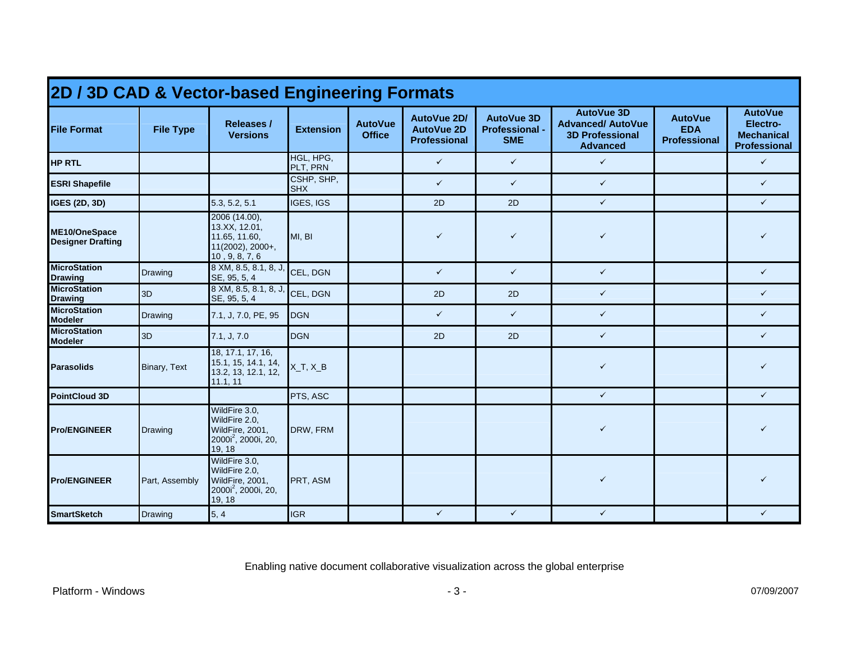| 2D / 3D CAD & Vector-based Engineering Formats |                  |                                                                                                |                          |                                 |                                                         |                                                          |                                                                                            |                                                     |                                                                        |  |  |  |  |
|------------------------------------------------|------------------|------------------------------------------------------------------------------------------------|--------------------------|---------------------------------|---------------------------------------------------------|----------------------------------------------------------|--------------------------------------------------------------------------------------------|-----------------------------------------------------|------------------------------------------------------------------------|--|--|--|--|
| <b>File Format</b>                             | <b>File Type</b> | Releases /<br><b>Versions</b>                                                                  | <b>Extension</b>         | <b>AutoVue</b><br><b>Office</b> | AutoVue 2D/<br><b>AutoVue 2D</b><br><b>Professional</b> | <b>AutoVue 3D</b><br><b>Professional -</b><br><b>SME</b> | <b>AutoVue 3D</b><br><b>Advanced/ AutoVue</b><br><b>3D Professional</b><br><b>Advanced</b> | <b>AutoVue</b><br><b>EDA</b><br><b>Professional</b> | <b>AutoVue</b><br>Electro-<br><b>Mechanical</b><br><b>Professional</b> |  |  |  |  |
| <b>HP RTL</b>                                  |                  |                                                                                                | HGL, HPG,<br>PLT, PRN    |                                 | $\checkmark$                                            | $\checkmark$                                             | $\checkmark$                                                                               |                                                     | $\checkmark$                                                           |  |  |  |  |
| <b>ESRI Shapefile</b>                          |                  |                                                                                                | CSHP, SHP,<br><b>SHX</b> |                                 | $\checkmark$                                            | $\checkmark$                                             | $\checkmark$                                                                               |                                                     | $\checkmark$                                                           |  |  |  |  |
| <b>IGES (2D, 3D)</b>                           |                  | 5.3, 5.2, 5.1                                                                                  | IGES, IGS                |                                 | 2D                                                      | 2D                                                       | $\checkmark$                                                                               |                                                     | $\checkmark$                                                           |  |  |  |  |
| ME10/OneSpace<br><b>Designer Drafting</b>      |                  | 2006 (14.00),<br>13.XX, 12.01,<br>11.65, 11.60,<br>11(2002), 2000+,<br>10, 9, 8, 7, 6          | MI, BI                   |                                 | $\checkmark$                                            | $\checkmark$                                             | $\checkmark$                                                                               |                                                     | ✓                                                                      |  |  |  |  |
| <b>MicroStation</b><br><b>Drawing</b>          | Drawing          | $8$ XM, $8.5, 8.1, 8, J$ ,<br>SE, 95, 5, 4                                                     | CEL, DGN                 |                                 | $\checkmark$                                            | $\checkmark$                                             | $\checkmark$                                                                               |                                                     | $\checkmark$                                                           |  |  |  |  |
| <b>MicroStation</b><br><b>Drawing</b>          | 3D               | 8 XM, 8.5, 8.1, 8, J, CEL, DGN<br>SE, 95, 5, 4                                                 |                          |                                 | 2D                                                      | 2D                                                       | $\checkmark$                                                                               |                                                     | $\checkmark$                                                           |  |  |  |  |
| <b>MicroStation</b><br><b>Modeler</b>          | <b>Drawing</b>   | 7.1, J, 7.0, PE, 95                                                                            | <b>DGN</b>               |                                 | $\checkmark$                                            | $\checkmark$                                             | $\checkmark$                                                                               |                                                     | $\checkmark$                                                           |  |  |  |  |
| <b>MicroStation</b><br><b>Modeler</b>          | 3D               | 7.1, J, 7.0                                                                                    | <b>DGN</b>               |                                 | 2D                                                      | 2D                                                       | $\checkmark$                                                                               |                                                     | $\checkmark$                                                           |  |  |  |  |
| <b>Parasolids</b>                              | Binary, Text     | 18, 17.1, 17, 16,<br>15.1, 15, 14.1, 14,<br>13.2, 13, 12.1, 12,<br>11.1, 11                    | $X_T, X_B$               |                                 |                                                         |                                                          | $\checkmark$                                                                               |                                                     | ✓                                                                      |  |  |  |  |
| PointCloud 3D                                  |                  |                                                                                                | PTS. ASC                 |                                 |                                                         |                                                          | $\checkmark$                                                                               |                                                     | $\checkmark$                                                           |  |  |  |  |
| <b>Pro/ENGINEER</b>                            | <b>Drawing</b>   | WildFire 3.0,<br>WildFire 2.0,<br>WildFire, 2001,<br>$2000i^2$ , 2000i, 20,<br>19, 18          | DRW, FRM                 |                                 |                                                         |                                                          | $\checkmark$                                                                               |                                                     |                                                                        |  |  |  |  |
| <b>Pro/ENGINEER</b>                            | Part, Assembly   | WildFire 3.0.<br>WildFire 2.0,<br>WildFire, 2001,<br>2000i <sup>2</sup> , 2000i, 20,<br>19, 18 | PRT, ASM                 |                                 |                                                         |                                                          | $\checkmark$                                                                               |                                                     |                                                                        |  |  |  |  |
| <b>SmartSketch</b>                             | Drawing          | 5, 4                                                                                           | <b>IGR</b>               |                                 | $\checkmark$                                            | $\checkmark$                                             | $\checkmark$                                                                               |                                                     | ✓                                                                      |  |  |  |  |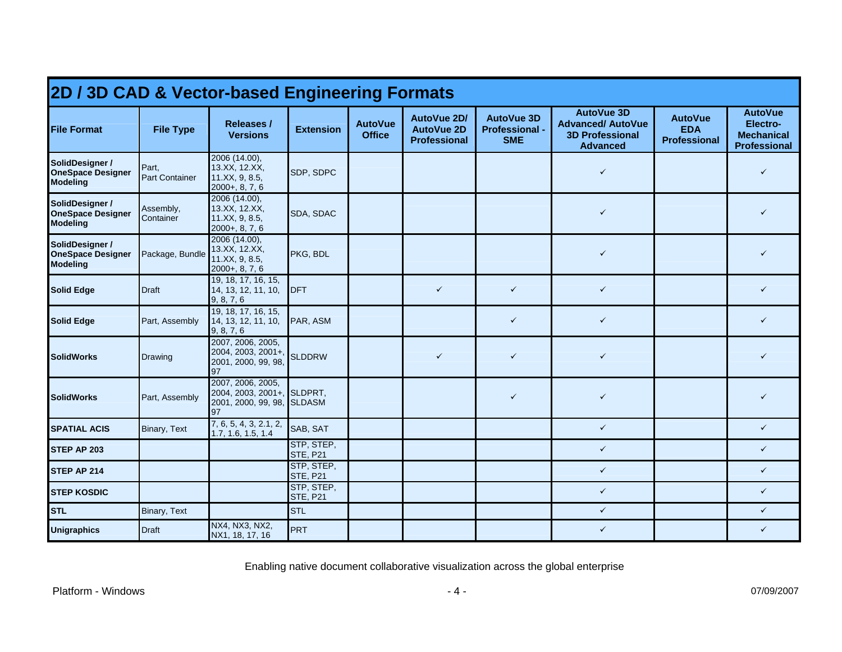| 2D / 3D CAD & Vector-based Engineering Formats                 |                                |                                                                                     |                               |                                 |                                                         |                                                   |                                                                                            |                                                     |                                                                        |  |  |  |
|----------------------------------------------------------------|--------------------------------|-------------------------------------------------------------------------------------|-------------------------------|---------------------------------|---------------------------------------------------------|---------------------------------------------------|--------------------------------------------------------------------------------------------|-----------------------------------------------------|------------------------------------------------------------------------|--|--|--|
| <b>File Format</b>                                             | <b>File Type</b>               | <b>Releases /</b><br><b>Versions</b>                                                | <b>Extension</b>              | <b>AutoVue</b><br><b>Office</b> | AutoVue 2D/<br><b>AutoVue 2D</b><br><b>Professional</b> | <b>AutoVue 3D</b><br>Professional -<br><b>SME</b> | <b>AutoVue 3D</b><br><b>Advanced/ AutoVue</b><br><b>3D Professional</b><br><b>Advanced</b> | <b>AutoVue</b><br><b>EDA</b><br><b>Professional</b> | <b>AutoVue</b><br>Electro-<br><b>Mechanical</b><br><b>Professional</b> |  |  |  |
| SolidDesigner /<br><b>OneSpace Designer</b><br><b>Modeling</b> | Part,<br><b>Part Container</b> | 2006 (14.00),<br>13.XX, 12.XX,<br>11.XX, 9, 8.5,<br>$2000+, 8, 7, 6$                | SDP, SDPC                     |                                 |                                                         |                                                   | $\checkmark$                                                                               |                                                     | ✓                                                                      |  |  |  |
| SolidDesigner /<br><b>OneSpace Designer</b><br><b>Modeling</b> | Assembly,<br>Container         | 2006 (14.00),<br>13.XX, 12.XX,<br>11.XX, 9, 8.5,<br>$2000+, 8, 7, 6$                | SDA, SDAC                     |                                 |                                                         |                                                   | ✓                                                                                          |                                                     | ✓                                                                      |  |  |  |
| SolidDesigner /<br><b>OneSpace Designer</b><br><b>Modeling</b> | Package, Bundle                | 2006 (14.00),<br>13.XX, 12.XX,<br>11.XX, 9, 8.5,<br>$2000+, 8, 7, 6$                | PKG, BDL                      |                                 |                                                         |                                                   | $\checkmark$                                                                               |                                                     | ✓                                                                      |  |  |  |
| <b>Solid Edge</b>                                              | <b>Draft</b>                   | 19, 18, 17, 16, 15,<br>14, 13, 12, 11, 10,<br>9, 8, 7, 6                            | <b>IDFT</b>                   |                                 | $\checkmark$                                            | $\checkmark$                                      | $\checkmark$                                                                               |                                                     | ✓                                                                      |  |  |  |
| <b>Solid Edge</b>                                              | Part, Assembly                 | 19, 18, 17, 16, 15,<br>14, 13, 12, 11, 10,<br>9, 8, 7, 6                            | PAR, ASM                      |                                 |                                                         | $\checkmark$                                      | $\checkmark$                                                                               |                                                     | ✓                                                                      |  |  |  |
| <b>SolidWorks</b>                                              | Drawing                        | 2007, 2006, 2005,<br>2004, 2003, 2001+,<br>2001, 2000, 99, 98,<br>97                | <b>SLDDRW</b>                 |                                 | $\checkmark$                                            | $\checkmark$                                      | $\checkmark$                                                                               |                                                     | ✓                                                                      |  |  |  |
| <b>SolidWorks</b>                                              | Part, Assembly                 | 2007, 2006, 2005,<br>2004, 2003, 2001+, SLDPRT,<br>2001, 2000, 99, 98, SLDASM<br>97 |                               |                                 |                                                         | $\checkmark$                                      | ✓                                                                                          |                                                     | ✓                                                                      |  |  |  |
| <b>SPATIAL ACIS</b>                                            | <b>Binary, Text</b>            | 7, 6, 5, 4, 3, 2.1, 2,<br>1.7, 1.6, 1.5, 1.4                                        | SAB, SAT                      |                                 |                                                         |                                                   | $\checkmark$                                                                               |                                                     | $\checkmark$                                                           |  |  |  |
| STEP AP 203                                                    |                                |                                                                                     | STP, STEP,<br><b>STE, P21</b> |                                 |                                                         |                                                   | $\checkmark$                                                                               |                                                     | $\checkmark$                                                           |  |  |  |
| STEP AP 214                                                    |                                |                                                                                     | STP, STEP,<br><b>STE, P21</b> |                                 |                                                         |                                                   | $\checkmark$                                                                               |                                                     | $\checkmark$                                                           |  |  |  |
| <b>STEP KOSDIC</b>                                             |                                |                                                                                     | STP, STEP,<br><b>STE, P21</b> |                                 |                                                         |                                                   | $\checkmark$                                                                               |                                                     | $\checkmark$                                                           |  |  |  |
| <b>STL</b>                                                     | Binary, Text                   |                                                                                     | <b>STL</b>                    |                                 |                                                         |                                                   | $\checkmark$                                                                               |                                                     | $\checkmark$                                                           |  |  |  |
| <b>Unigraphics</b>                                             | <b>Draft</b>                   | NX4, NX3, NX2,<br>NX1, 18, 17, 16                                                   | PRT                           |                                 |                                                         |                                                   | $\checkmark$                                                                               |                                                     | $\checkmark$                                                           |  |  |  |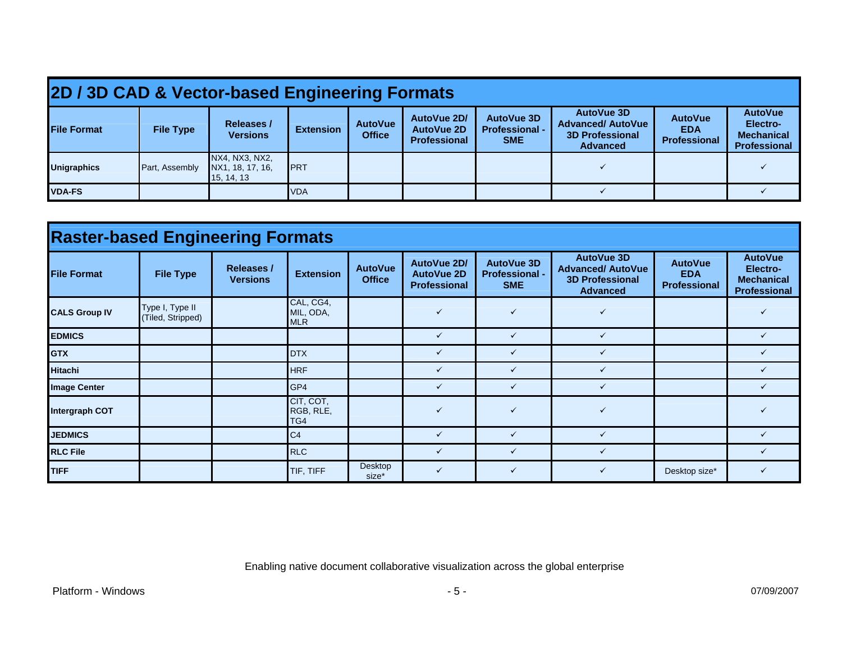|                    | 2D / 3D CAD & Vector-based Engineering Formats |                                                  |                  |                                 |                                                         |                                                   |                                                                                            |                                                     |                                                                        |  |  |  |  |
|--------------------|------------------------------------------------|--------------------------------------------------|------------------|---------------------------------|---------------------------------------------------------|---------------------------------------------------|--------------------------------------------------------------------------------------------|-----------------------------------------------------|------------------------------------------------------------------------|--|--|--|--|
| <b>File Format</b> | <b>File Type</b>                               | <b>Releases /</b><br><b>Versions</b>             | <b>Extension</b> | <b>AutoVue</b><br><b>Office</b> | AutoVue 2D/<br><b>AutoVue 2D</b><br><b>Professional</b> | AutoVue 3D<br><b>Professional -</b><br><b>SME</b> | <b>AutoVue 3D</b><br><b>Advanced/ AutoVue</b><br><b>3D Professional</b><br><b>Advanced</b> | <b>AutoVue</b><br><b>EDA</b><br><b>Professional</b> | <b>AutoVue</b><br>Electro-<br><b>Mechanical</b><br><b>Professional</b> |  |  |  |  |
| <b>Unigraphics</b> | Part, Assembly                                 | NX4, NX3, NX2,<br>NX1, 18, 17, 16,<br>15, 14, 13 | <b>IPRT</b>      |                                 |                                                         |                                                   |                                                                                            |                                                     |                                                                        |  |  |  |  |
| <b>VDA-FS</b>      |                                                |                                                  | <b>VDA</b>       |                                 |                                                         |                                                   |                                                                                            |                                                     |                                                                        |  |  |  |  |

| <b>Raster-based Engineering Formats</b> |                                      |                                      |                                      |                                 |                                                         |                                                          |                                                                                            |                                                     |                                                                        |  |  |  |  |
|-----------------------------------------|--------------------------------------|--------------------------------------|--------------------------------------|---------------------------------|---------------------------------------------------------|----------------------------------------------------------|--------------------------------------------------------------------------------------------|-----------------------------------------------------|------------------------------------------------------------------------|--|--|--|--|
| <b>File Format</b>                      | <b>File Type</b>                     | <b>Releases /</b><br><b>Versions</b> | <b>Extension</b>                     | <b>AutoVue</b><br><b>Office</b> | AutoVue 2D/<br><b>AutoVue 2D</b><br><b>Professional</b> | <b>AutoVue 3D</b><br><b>Professional -</b><br><b>SME</b> | <b>AutoVue 3D</b><br><b>Advanced/ AutoVue</b><br><b>3D Professional</b><br><b>Advanced</b> | <b>AutoVue</b><br><b>EDA</b><br><b>Professional</b> | <b>AutoVue</b><br>Electro-<br><b>Mechanical</b><br><b>Professional</b> |  |  |  |  |
| <b>CALS Group IV</b>                    | Type I, Type II<br>(Tiled, Stripped) |                                      | CAL, CG4,<br>MIL, ODA,<br><b>MLR</b> |                                 | $\checkmark$                                            | $\checkmark$                                             | ✓                                                                                          |                                                     |                                                                        |  |  |  |  |
| <b>EDMICS</b>                           |                                      |                                      |                                      |                                 | ✓                                                       | $\checkmark$                                             | $\checkmark$                                                                               |                                                     |                                                                        |  |  |  |  |
| <b>GTX</b>                              |                                      |                                      | <b>DTX</b>                           |                                 | ✓                                                       | $\checkmark$                                             |                                                                                            |                                                     |                                                                        |  |  |  |  |
| <b>Hitachi</b>                          |                                      |                                      | <b>HRF</b>                           |                                 | ✓                                                       | $\checkmark$                                             |                                                                                            |                                                     |                                                                        |  |  |  |  |
| <b>Image Center</b>                     |                                      |                                      | GP4                                  |                                 | ✓                                                       | $\checkmark$                                             |                                                                                            |                                                     |                                                                        |  |  |  |  |
| Intergraph COT                          |                                      |                                      | CIT, COT,<br>RGB, RLE,<br>TG4        |                                 | $\checkmark$                                            | $\checkmark$                                             | ✓                                                                                          |                                                     |                                                                        |  |  |  |  |
| <b>JEDMICS</b>                          |                                      |                                      | C <sub>4</sub>                       |                                 | $\checkmark$                                            | $\checkmark$                                             | ✓                                                                                          |                                                     |                                                                        |  |  |  |  |
| <b>RLC File</b>                         |                                      |                                      | <b>RLC</b>                           |                                 | $\checkmark$                                            | $\checkmark$                                             |                                                                                            |                                                     |                                                                        |  |  |  |  |
| <b>TIFF</b>                             |                                      |                                      | TIF, TIFF                            | Desktop<br>size*                | ✓                                                       | $\checkmark$                                             |                                                                                            | Desktop size*                                       |                                                                        |  |  |  |  |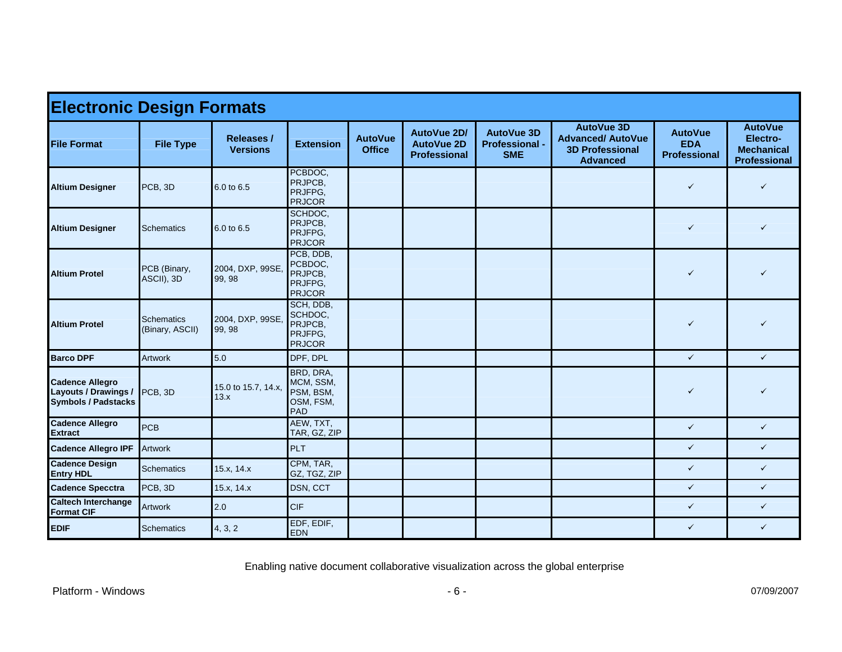| <b>Electronic Design Formats</b>                                                    |                                      |                                      |                                                             |                                 |                                                                |                                                          |                                                                                            |                                                     |                                                                        |  |  |  |
|-------------------------------------------------------------------------------------|--------------------------------------|--------------------------------------|-------------------------------------------------------------|---------------------------------|----------------------------------------------------------------|----------------------------------------------------------|--------------------------------------------------------------------------------------------|-----------------------------------------------------|------------------------------------------------------------------------|--|--|--|
| <b>File Format</b>                                                                  | <b>File Type</b>                     | <b>Releases /</b><br><b>Versions</b> | <b>Extension</b>                                            | <b>AutoVue</b><br><b>Office</b> | <b>AutoVue 2D/</b><br><b>AutoVue 2D</b><br><b>Professional</b> | <b>AutoVue 3D</b><br><b>Professional -</b><br><b>SME</b> | <b>AutoVue 3D</b><br><b>Advanced/ AutoVue</b><br><b>3D Professional</b><br><b>Advanced</b> | <b>AutoVue</b><br><b>EDA</b><br><b>Professional</b> | <b>AutoVue</b><br>Electro-<br><b>Mechanical</b><br><b>Professional</b> |  |  |  |
| <b>Altium Designer</b>                                                              | PCB, 3D                              | 6.0 to 6.5                           | PCBDOC,<br>PRJPCB.<br>PRJFPG.<br><b>PRJCOR</b>              |                                 |                                                                |                                                          |                                                                                            | $\checkmark$                                        | $\checkmark$                                                           |  |  |  |
| <b>Altium Designer</b>                                                              | <b>Schematics</b>                    | 6.0 to 6.5                           | SCHDOC,<br>PRJPCB.<br>PRJFPG,<br><b>PRJCOR</b>              |                                 |                                                                |                                                          |                                                                                            | $\checkmark$                                        | $\checkmark$                                                           |  |  |  |
| <b>Altium Protel</b>                                                                | PCB (Binary,<br>ASCII), 3D           | 2004, DXP, 99SE,<br>99, 98           | PCB, DDB,<br>PCBDOC,<br>PRJPCB,<br>PRJFPG.<br><b>PRJCOR</b> |                                 |                                                                |                                                          |                                                                                            | $\checkmark$                                        | $\checkmark$                                                           |  |  |  |
| <b>Altium Protel</b>                                                                | <b>Schematics</b><br>(Binary, ASCII) | 2004, DXP, 99SE,<br>99, 98           | SCH, DDB,<br>SCHDOC.<br>PRJPCB,<br>PRJFPG.<br><b>PRJCOR</b> |                                 |                                                                |                                                          |                                                                                            | $\checkmark$                                        | $\checkmark$                                                           |  |  |  |
| <b>Barco DPF</b>                                                                    | <b>Artwork</b>                       | 5.0                                  | DPF, DPL                                                    |                                 |                                                                |                                                          |                                                                                            | $\checkmark$                                        | $\checkmark$                                                           |  |  |  |
| <b>Cadence Allegro</b><br><b>Layouts / Drawings /</b><br><b>Symbols / Padstacks</b> | PCB, 3D                              | 15.0 to 15.7, 14.x,<br>13.x          | BRD, DRA,<br>MCM, SSM,<br>PSM, BSM,<br>OSM, FSM,<br>PAD     |                                 |                                                                |                                                          |                                                                                            | $\checkmark$                                        | $\checkmark$                                                           |  |  |  |
| <b>Cadence Allegro</b><br><b>Extract</b>                                            | <b>PCB</b>                           |                                      | AEW, TXT,<br>TAR, GZ, ZIP                                   |                                 |                                                                |                                                          |                                                                                            | $\checkmark$                                        | $\checkmark$                                                           |  |  |  |
| <b>Cadence Allegro IPF</b>                                                          | <b>Artwork</b>                       |                                      | PLT                                                         |                                 |                                                                |                                                          |                                                                                            | $\checkmark$                                        | $\checkmark$                                                           |  |  |  |
| <b>Cadence Design</b><br><b>Entry HDL</b>                                           | <b>Schematics</b>                    | 15.x, 14.x                           | CPM, TAR,<br>GZ, TGZ, ZIP                                   |                                 |                                                                |                                                          |                                                                                            | $\checkmark$                                        | $\checkmark$                                                           |  |  |  |
| <b>Cadence Specctra</b>                                                             | PCB, 3D                              | 15.x, 14.x                           | <b>DSN, CCT</b>                                             |                                 |                                                                |                                                          |                                                                                            | $\checkmark$                                        | $\checkmark$                                                           |  |  |  |
| <b>Caltech Interchange</b><br><b>Format CIF</b>                                     | Artwork                              | 2.0                                  | <b>CIF</b>                                                  |                                 |                                                                |                                                          |                                                                                            | $\checkmark$                                        | $\checkmark$                                                           |  |  |  |
| <b>EDIF</b>                                                                         | <b>Schematics</b>                    | 4, 3, 2                              | EDF, EDIF,<br><b>EDN</b>                                    |                                 |                                                                |                                                          |                                                                                            | $\checkmark$                                        | $\checkmark$                                                           |  |  |  |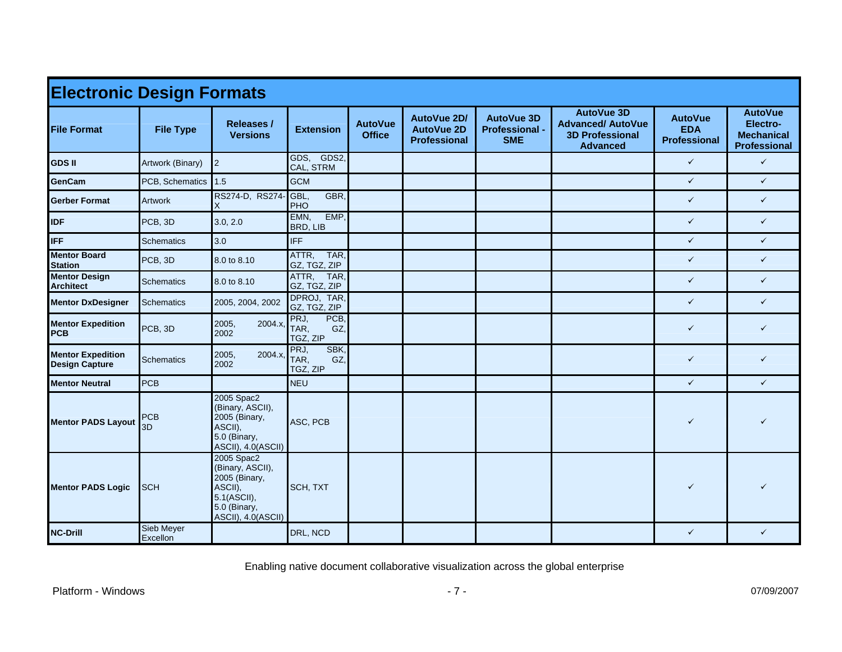| <b>Electronic Design Formats</b>                  |                        |                                                                                                                 |                                         |                                 |                                                         |                                                          |                                                                                            |                                                     |                                                                 |  |  |
|---------------------------------------------------|------------------------|-----------------------------------------------------------------------------------------------------------------|-----------------------------------------|---------------------------------|---------------------------------------------------------|----------------------------------------------------------|--------------------------------------------------------------------------------------------|-----------------------------------------------------|-----------------------------------------------------------------|--|--|
| <b>File Format</b>                                | <b>File Type</b>       | <b>Releases /</b><br><b>Versions</b>                                                                            | <b>Extension</b>                        | <b>AutoVue</b><br><b>Office</b> | AutoVue 2D/<br><b>AutoVue 2D</b><br><b>Professional</b> | <b>AutoVue 3D</b><br><b>Professional -</b><br><b>SME</b> | <b>AutoVue 3D</b><br><b>Advanced/ AutoVue</b><br><b>3D Professional</b><br><b>Advanced</b> | <b>AutoVue</b><br><b>EDA</b><br><b>Professional</b> | <b>AutoVue</b><br>Electro-<br><b>Mechanical</b><br>Professional |  |  |
| <b>GDS II</b>                                     | Artwork (Binary)       | $\overline{2}$                                                                                                  | GDS, GDS2,<br>CAL, STRM                 |                                 |                                                         |                                                          |                                                                                            | $\checkmark$                                        | $\checkmark$                                                    |  |  |
| <b>GenCam</b>                                     | PCB, Schematics        | 1.5                                                                                                             | <b>GCM</b>                              |                                 |                                                         |                                                          |                                                                                            | $\checkmark$                                        | $\checkmark$                                                    |  |  |
| <b>Gerber Format</b>                              | <b>Artwork</b>         | RS274-D, RS274- GBL,<br>X                                                                                       | GBR.<br>PHO                             |                                 |                                                         |                                                          |                                                                                            | $\checkmark$                                        | $\checkmark$                                                    |  |  |
| <b>IDF</b>                                        | PCB, 3D                | 3.0, 2.0                                                                                                        | EMN,<br>EMP,<br>BRD, LIB                |                                 |                                                         |                                                          |                                                                                            | $\checkmark$                                        | $\checkmark$                                                    |  |  |
| <b>IFF</b>                                        | <b>Schematics</b>      | 3.0                                                                                                             | <b>IFF</b>                              |                                 |                                                         |                                                          |                                                                                            | $\checkmark$                                        | $\checkmark$                                                    |  |  |
| <b>Mentor Board</b><br><b>Station</b>             | PCB, 3D                | 8.0 to 8.10                                                                                                     | TAR,<br>ATTR,<br>GZ, TGZ, ZIP           |                                 |                                                         |                                                          |                                                                                            | $\checkmark$                                        | $\checkmark$                                                    |  |  |
| <b>Mentor Design</b><br><b>Architect</b>          | <b>Schematics</b>      | 8.0 to 8.10                                                                                                     | ATTR,<br>TAR,<br>GZ, TGZ, ZIP           |                                 |                                                         |                                                          |                                                                                            | $\checkmark$                                        | $\checkmark$                                                    |  |  |
| <b>Mentor DxDesigner</b>                          | <b>Schematics</b>      | 2005, 2004, 2002                                                                                                | DPROJ, TAR,<br>GZ, TGZ, ZIP             |                                 |                                                         |                                                          |                                                                                            | $\checkmark$                                        | $\checkmark$                                                    |  |  |
| <b>Mentor Expedition</b><br><b>PCB</b>            | PCB, 3D                | 2005,<br>2004.x,<br>2002                                                                                        | PRJ,<br>PCB,<br>TAR.<br>GZ,<br>TGZ, ZIP |                                 |                                                         |                                                          |                                                                                            | $\checkmark$                                        | $\checkmark$                                                    |  |  |
| <b>Mentor Expedition</b><br><b>Design Capture</b> | <b>Schematics</b>      | 2004.x,<br>2005,<br>2002                                                                                        | PRJ,<br>SBK.<br>TAR,<br>GZ,<br>TGZ, ZIP |                                 |                                                         |                                                          |                                                                                            | $\checkmark$                                        | $\checkmark$                                                    |  |  |
| <b>Mentor Neutral</b>                             | <b>PCB</b>             |                                                                                                                 | <b>NEU</b>                              |                                 |                                                         |                                                          |                                                                                            | $\checkmark$                                        | $\checkmark$                                                    |  |  |
| <b>Mentor PADS Layout</b>                         | <b>PCB</b><br>3D       | 2005 Spac2<br>(Binary, ASCII),<br>2005 (Binary,<br>ASCII),<br>5.0 (Binary,<br>ASCII), 4.0(ASCII)                | ASC, PCB                                |                                 |                                                         |                                                          |                                                                                            | ✓                                                   |                                                                 |  |  |
| <b>Mentor PADS Logic</b>                          | <b>SCH</b>             | 2005 Spac2<br>(Binary, ASCII),<br>2005 (Binary,<br>ASCII),<br>5.1(ASCII),<br>5.0 (Binary,<br>ASCII), 4.0(ASCII) | SCH, TXT                                |                                 |                                                         |                                                          |                                                                                            | $\checkmark$                                        |                                                                 |  |  |
| <b>NC-Drill</b>                                   | Sieb Meyer<br>Excellon |                                                                                                                 | DRL, NCD                                |                                 |                                                         |                                                          |                                                                                            | $\checkmark$                                        | $\checkmark$                                                    |  |  |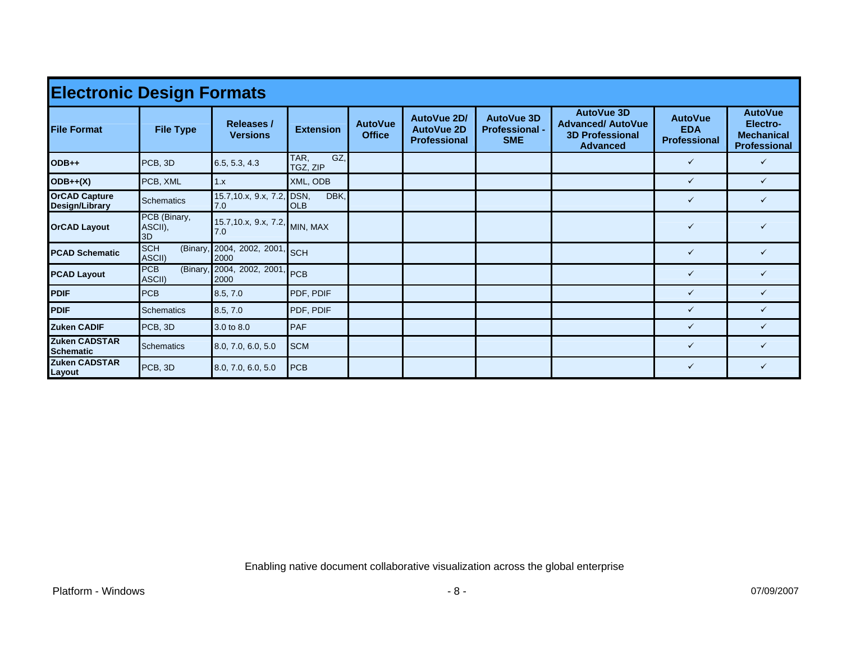| <b>Electronic Design Formats</b>         |                                  |                                      |                         |                                 |                                                         |                                                          |                                                                                            |                                                     |                                                                        |  |  |  |
|------------------------------------------|----------------------------------|--------------------------------------|-------------------------|---------------------------------|---------------------------------------------------------|----------------------------------------------------------|--------------------------------------------------------------------------------------------|-----------------------------------------------------|------------------------------------------------------------------------|--|--|--|
| <b>File Format</b>                       | <b>File Type</b>                 | <b>Releases /</b><br><b>Versions</b> | <b>Extension</b>        | <b>AutoVue</b><br><b>Office</b> | AutoVue 2D/<br><b>AutoVue 2D</b><br><b>Professional</b> | <b>AutoVue 3D</b><br><b>Professional -</b><br><b>SME</b> | <b>AutoVue 3D</b><br><b>Advanced/ AutoVue</b><br><b>3D Professional</b><br><b>Advanced</b> | <b>AutoVue</b><br><b>EDA</b><br><b>Professional</b> | <b>AutoVue</b><br>Electro-<br><b>Mechanical</b><br><b>Professional</b> |  |  |  |
| $ODB++$                                  | PCB, 3D                          | 6.5, 5.3, 4.3                        | GZ.<br>TAR,<br>TGZ, ZIP |                                 |                                                         |                                                          |                                                                                            | $\checkmark$                                        | ✓                                                                      |  |  |  |
| $ODE++(X)$                               | PCB, XML                         | 1.x                                  | XML, ODB                |                                 |                                                         |                                                          |                                                                                            | $\checkmark$                                        | ✓                                                                      |  |  |  |
| <b>OrCAD Capture</b><br>Design/Library   | <b>Schematics</b>                | 15.7, 10.x, 9.x, 7.2, DSN,<br>7.0    | DBK,<br><b>OLB</b>      |                                 |                                                         |                                                          |                                                                                            | $\checkmark$                                        | ✓                                                                      |  |  |  |
| <b>OrCAD Layout</b>                      | PCB (Binary,<br>ASCII),<br>3D    | 15.7,10.x, 9.x, 7.2, MIN, MAX<br>7.0 |                         |                                 |                                                         |                                                          |                                                                                            | $\checkmark$                                        |                                                                        |  |  |  |
| <b>PCAD Schematic</b>                    | <b>SCH</b><br>(Binary,<br>ASCII) | 2004, 2002, 2001,<br>2000            | <b>SCH</b>              |                                 |                                                         |                                                          |                                                                                            | $\checkmark$                                        | ✓                                                                      |  |  |  |
| <b>PCAD Layout</b>                       | <b>PCB</b><br>(Binary,<br>ASCII) | 2004, 2002, 2001<br>2000             | <b>PCB</b>              |                                 |                                                         |                                                          |                                                                                            | $\checkmark$                                        | $\checkmark$                                                           |  |  |  |
| <b>PDIF</b>                              | <b>PCB</b>                       | 8.5, 7.0                             | PDF, PDIF               |                                 |                                                         |                                                          |                                                                                            | $\checkmark$                                        | ✓                                                                      |  |  |  |
| <b>PDIF</b>                              | Schematics                       | 8.5, 7.0                             | PDF, PDIF               |                                 |                                                         |                                                          |                                                                                            | $\checkmark$                                        | ✓                                                                      |  |  |  |
| <b>Zuken CADIF</b>                       | PCB, 3D                          | 3.0 to 8.0                           | <b>PAF</b>              |                                 |                                                         |                                                          |                                                                                            | $\checkmark$                                        | ✓                                                                      |  |  |  |
| <b>Zuken CADSTAR</b><br><b>Schematic</b> | <b>Schematics</b>                | 8.0, 7.0, 6.0, 5.0                   | <b>SCM</b>              |                                 |                                                         |                                                          |                                                                                            | $\checkmark$                                        | ✓                                                                      |  |  |  |
| <b>Zuken CADSTAR</b><br>Layout           | PCB, 3D                          | 8.0, 7.0, 6.0, 5.0                   | <b>PCB</b>              |                                 |                                                         |                                                          |                                                                                            | $\checkmark$                                        | ✓                                                                      |  |  |  |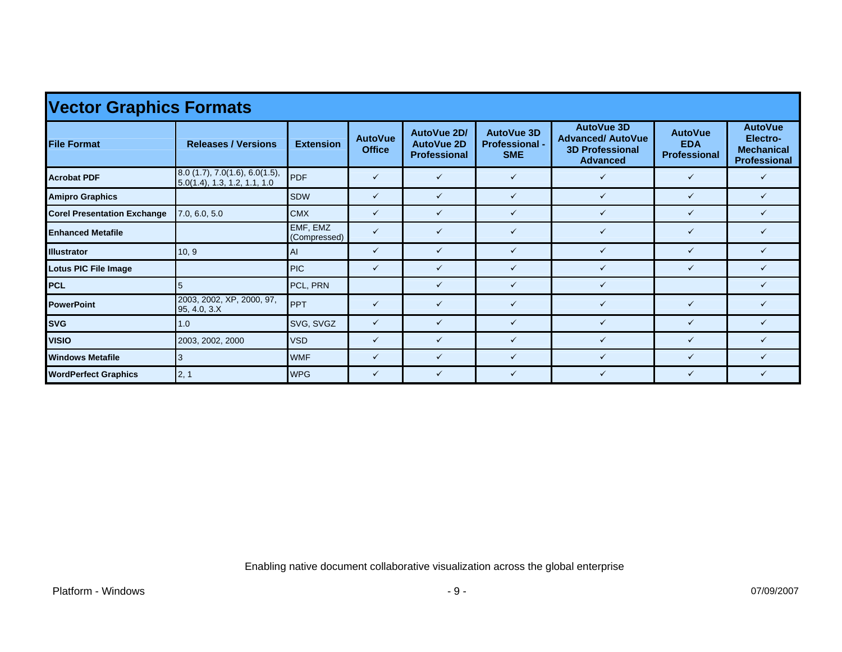| <b>Vector Graphics Formats</b>     |                                                                     |                          |                                 |                                                         |                                                          |                                                                                            |                                                     |                                                                 |  |  |  |  |  |
|------------------------------------|---------------------------------------------------------------------|--------------------------|---------------------------------|---------------------------------------------------------|----------------------------------------------------------|--------------------------------------------------------------------------------------------|-----------------------------------------------------|-----------------------------------------------------------------|--|--|--|--|--|
| <b>File Format</b>                 | <b>Releases / Versions</b>                                          | <b>Extension</b>         | <b>AutoVue</b><br><b>Office</b> | AutoVue 2D/<br><b>AutoVue 2D</b><br><b>Professional</b> | <b>AutoVue 3D</b><br><b>Professional -</b><br><b>SME</b> | <b>AutoVue 3D</b><br><b>Advanced/ AutoVue</b><br><b>3D Professional</b><br><b>Advanced</b> | <b>AutoVue</b><br><b>EDA</b><br><b>Professional</b> | <b>AutoVue</b><br>Electro-<br><b>Mechanical</b><br>Professional |  |  |  |  |  |
| <b>Acrobat PDF</b>                 | $8.0$ (1.7), 7.0(1.6), 6.0(1.5),<br>$5.0(1.4)$ , 1.3, 1.2, 1.1, 1.0 | <b>PDF</b>               | $\checkmark$                    | $\checkmark$                                            | $\checkmark$                                             | $\checkmark$                                                                               | $\checkmark$                                        | ✓                                                               |  |  |  |  |  |
| <b>Amipro Graphics</b>             |                                                                     | <b>SDW</b>               | $\checkmark$                    | $\checkmark$                                            | $\checkmark$                                             | $\checkmark$                                                                               | $\checkmark$                                        | $\checkmark$                                                    |  |  |  |  |  |
| <b>Corel Presentation Exchange</b> | 7.0, 6.0, 5.0                                                       | <b>CMX</b>               | $\checkmark$                    | ✓                                                       | $\checkmark$                                             | ✓                                                                                          | $\checkmark$                                        |                                                                 |  |  |  |  |  |
| <b>Enhanced Metafile</b>           |                                                                     | EMF, EMZ<br>(Compressed) | $\checkmark$                    | ✓                                                       | $\checkmark$                                             | $\checkmark$                                                                               | $\checkmark$                                        | ✓                                                               |  |  |  |  |  |
| <b>Illustrator</b>                 | 10, 9                                                               | AI                       | $\checkmark$                    | $\checkmark$                                            | $\checkmark$                                             | $\checkmark$                                                                               | $\checkmark$                                        | ✓                                                               |  |  |  |  |  |
| Lotus PIC File Image               |                                                                     | <b>PIC</b>               | $\checkmark$                    | ✓                                                       | $\checkmark$                                             | $\checkmark$                                                                               | $\checkmark$                                        |                                                                 |  |  |  |  |  |
| PCL                                | 5                                                                   | PCL, PRN                 |                                 | ✓                                                       | $\checkmark$                                             | $\checkmark$                                                                               |                                                     |                                                                 |  |  |  |  |  |
| <b>PowerPoint</b>                  | 2003, 2002, XP, 2000, 97,<br>95, 4.0, 3.X                           | <b>PPT</b>               | $\checkmark$                    | ✓                                                       | $\checkmark$                                             | $\checkmark$                                                                               | $\checkmark$                                        | ✓                                                               |  |  |  |  |  |
| <b>SVG</b>                         | 1.0                                                                 | SVG, SVGZ                | $\checkmark$                    | ✓                                                       | $\checkmark$                                             | ✓                                                                                          | $\checkmark$                                        | ✓                                                               |  |  |  |  |  |
| <b>VISIO</b>                       | 2003, 2002, 2000                                                    | <b>VSD</b>               | $\checkmark$                    | ✓                                                       | $\checkmark$                                             |                                                                                            | ✓                                                   |                                                                 |  |  |  |  |  |
| <b>Windows Metafile</b>            | Ι3                                                                  | <b>WMF</b>               | $\checkmark$                    | ✓                                                       | $\checkmark$                                             | $\checkmark$                                                                               | $\checkmark$                                        | ✓                                                               |  |  |  |  |  |
| <b>WordPerfect Graphics</b>        | 2, 1                                                                | <b>WPG</b>               | $\checkmark$                    | $\checkmark$                                            | $\checkmark$                                             | $\checkmark$                                                                               | $\checkmark$                                        | ✓                                                               |  |  |  |  |  |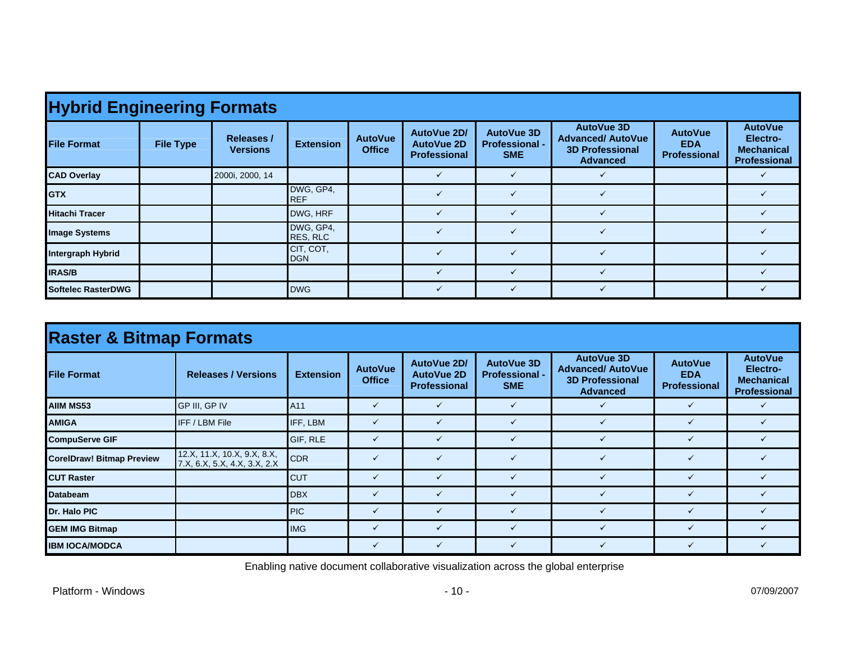| <b>Hybrid Engineering Formats</b> |                  |                                      |                         |                                 |                                                         |                                                          |                                                                                            |                                                     |                                                                 |  |  |  |  |
|-----------------------------------|------------------|--------------------------------------|-------------------------|---------------------------------|---------------------------------------------------------|----------------------------------------------------------|--------------------------------------------------------------------------------------------|-----------------------------------------------------|-----------------------------------------------------------------|--|--|--|--|
| <b>File Format</b>                | <b>File Type</b> | <b>Releases /</b><br><b>Versions</b> | <b>Extension</b>        | <b>AutoVue</b><br><b>Office</b> | AutoVue 2D/<br><b>AutoVue 2D</b><br><b>Professional</b> | <b>AutoVue 3D</b><br><b>Professional -</b><br><b>SME</b> | <b>AutoVue 3D</b><br><b>Advanced/ AutoVue</b><br><b>3D Professional</b><br><b>Advanced</b> | <b>AutoVue</b><br><b>EDA</b><br><b>Professional</b> | <b>AutoVue</b><br>Electro-<br><b>Mechanical</b><br>Professional |  |  |  |  |
| <b>CAD Overlay</b>                |                  | 2000i, 2000, 14                      |                         |                                 |                                                         | ✓                                                        |                                                                                            |                                                     |                                                                 |  |  |  |  |
| <b>I</b> GTX                      |                  |                                      | DWG, GP4,<br><b>REF</b> |                                 |                                                         |                                                          |                                                                                            |                                                     |                                                                 |  |  |  |  |
| <b>Hitachi Tracer</b>             |                  |                                      | DWG, HRF                |                                 |                                                         | $\checkmark$                                             |                                                                                            |                                                     |                                                                 |  |  |  |  |
| <b>Image Systems</b>              |                  |                                      | DWG, GP4,<br>RES, RLC   |                                 |                                                         | $\checkmark$                                             |                                                                                            |                                                     |                                                                 |  |  |  |  |
| <b>Intergraph Hybrid</b>          |                  |                                      | CIT, COT,<br><b>DGN</b> |                                 |                                                         | $\checkmark$                                             |                                                                                            |                                                     |                                                                 |  |  |  |  |
| <b>IRAS/B</b>                     |                  |                                      |                         |                                 |                                                         | $\checkmark$                                             |                                                                                            |                                                     |                                                                 |  |  |  |  |
| <b>Softelec RasterDWG</b>         |                  |                                      | <b>DWG</b>              |                                 |                                                         | $\checkmark$                                             |                                                                                            |                                                     |                                                                 |  |  |  |  |

| <b>Raster &amp; Bitmap Formats</b> |                                                          |                  |                                 |                                                         |                                                          |                                                                                            |                                                     |                                                                        |  |  |  |  |
|------------------------------------|----------------------------------------------------------|------------------|---------------------------------|---------------------------------------------------------|----------------------------------------------------------|--------------------------------------------------------------------------------------------|-----------------------------------------------------|------------------------------------------------------------------------|--|--|--|--|
| <b>File Format</b>                 | <b>Releases / Versions</b>                               | <b>Extension</b> | <b>AutoVue</b><br><b>Office</b> | AutoVue 2D/<br><b>AutoVue 2D</b><br><b>Professional</b> | <b>AutoVue 3D</b><br><b>Professional -</b><br><b>SME</b> | <b>AutoVue 3D</b><br><b>Advanced/ AutoVue</b><br><b>3D Professional</b><br><b>Advanced</b> | <b>AutoVue</b><br><b>EDA</b><br><b>Professional</b> | <b>AutoVue</b><br>Electro-<br><b>Mechanical</b><br><b>Professional</b> |  |  |  |  |
| <b>AIIM MS53</b>                   | GP III, GP IV                                            | A11              | ✓                               |                                                         | ✓                                                        |                                                                                            | $\checkmark$                                        |                                                                        |  |  |  |  |
| <b>AMIGA</b>                       | <b>IFF / LBM File</b>                                    | IFF, LBM         | ✓                               |                                                         | $\checkmark$                                             |                                                                                            | $\checkmark$                                        |                                                                        |  |  |  |  |
| <b>CompuServe GIF</b>              |                                                          | GIF, RLE         | ✓                               |                                                         | ✓                                                        |                                                                                            | $\checkmark$                                        |                                                                        |  |  |  |  |
| <b>CorelDraw! Bitmap Preview</b>   | 12.X, 11.X, 10.X, 9.X, 8.X, 7.X, 6.X, 5.X, 4.X, 3.X, 2.X | <b>CDR</b>       | $\checkmark$                    |                                                         | $\checkmark$                                             |                                                                                            | $\checkmark$                                        |                                                                        |  |  |  |  |
| <b>CUT Raster</b>                  |                                                          | <b>CUT</b>       | $\checkmark$                    |                                                         | $\checkmark$                                             |                                                                                            | $\checkmark$                                        |                                                                        |  |  |  |  |
| <b>Databeam</b>                    |                                                          | <b>DBX</b>       | $\checkmark$                    |                                                         | ✓                                                        |                                                                                            | $\checkmark$                                        |                                                                        |  |  |  |  |
| Dr. Halo PIC                       |                                                          | <b>IPIC</b>      | ✓                               |                                                         | ✓                                                        |                                                                                            | $\checkmark$                                        |                                                                        |  |  |  |  |
| <b>GEM IMG Bitmap</b>              |                                                          | <b>IMG</b>       | $\checkmark$                    |                                                         | $\checkmark$                                             |                                                                                            | $\checkmark$                                        |                                                                        |  |  |  |  |
| <b>IBM IOCA/MODCA</b>              |                                                          |                  | ✓                               |                                                         | ✓                                                        |                                                                                            | $\checkmark$                                        |                                                                        |  |  |  |  |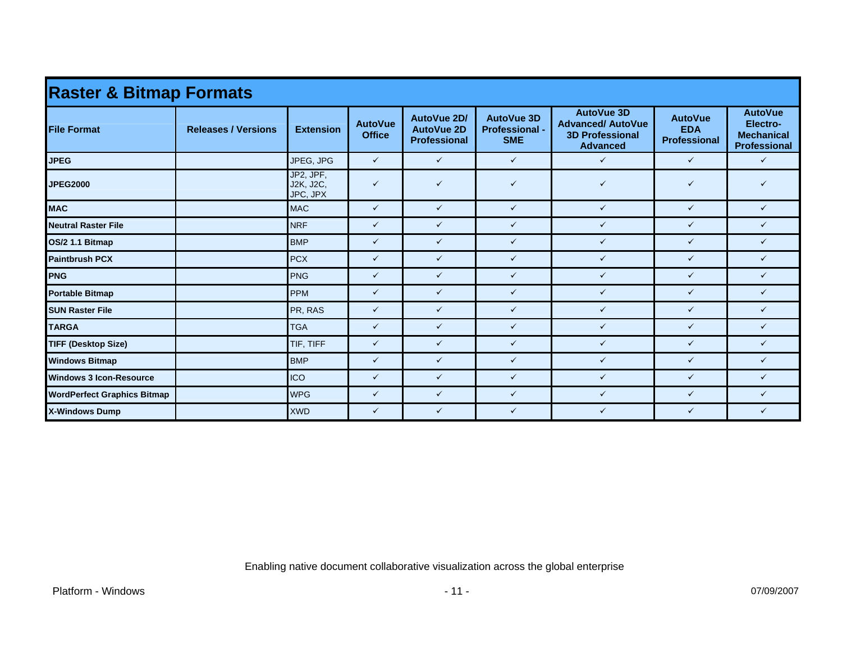| <b>Raster &amp; Bitmap Formats</b> |                            |                                    |                                 |                                                         |                                                          |                                                                                            |                                                     |                                                                        |  |  |
|------------------------------------|----------------------------|------------------------------------|---------------------------------|---------------------------------------------------------|----------------------------------------------------------|--------------------------------------------------------------------------------------------|-----------------------------------------------------|------------------------------------------------------------------------|--|--|
| <b>File Format</b>                 | <b>Releases / Versions</b> | <b>Extension</b>                   | <b>AutoVue</b><br><b>Office</b> | AutoVue 2D/<br><b>AutoVue 2D</b><br><b>Professional</b> | <b>AutoVue 3D</b><br><b>Professional -</b><br><b>SME</b> | <b>AutoVue 3D</b><br><b>Advanced/ AutoVue</b><br><b>3D Professional</b><br><b>Advanced</b> | <b>AutoVue</b><br><b>EDA</b><br><b>Professional</b> | <b>AutoVue</b><br>Electro-<br><b>Mechanical</b><br><b>Professional</b> |  |  |
| <b>JPEG</b>                        |                            | JPEG, JPG                          | $\checkmark$                    | $\checkmark$                                            | $\checkmark$                                             | $\checkmark$                                                                               | $\checkmark$                                        | $\checkmark$                                                           |  |  |
| <b>JPEG2000</b>                    |                            | JP2, JPF,<br>J2K, J2C,<br>JPC, JPX | $\checkmark$                    | $\checkmark$                                            | $\checkmark$                                             | $\checkmark$                                                                               | ✓                                                   | ✓                                                                      |  |  |
| <b>MAC</b>                         |                            | <b>MAC</b>                         | $\checkmark$                    | $\checkmark$                                            | $\checkmark$                                             | $\checkmark$                                                                               | $\checkmark$                                        | $\checkmark$                                                           |  |  |
| <b>Neutral Raster File</b>         |                            | <b>NRF</b>                         | $\checkmark$                    | $\checkmark$                                            | $\checkmark$                                             | $\checkmark$                                                                               | $\checkmark$                                        | $\checkmark$                                                           |  |  |
| OS/2 1.1 Bitmap                    |                            | <b>BMP</b>                         | $\checkmark$                    | $\checkmark$                                            | $\checkmark$                                             | $\checkmark$                                                                               | $\checkmark$                                        | $\checkmark$                                                           |  |  |
| <b>Paintbrush PCX</b>              |                            | <b>PCX</b>                         | $\checkmark$                    | $\checkmark$                                            | $\checkmark$                                             | $\checkmark$                                                                               | $\checkmark$                                        | ✓                                                                      |  |  |
| <b>PNG</b>                         |                            | <b>PNG</b>                         | $\checkmark$                    | $\checkmark$                                            | $\checkmark$                                             | $\checkmark$                                                                               | $\checkmark$                                        | ✓                                                                      |  |  |
| <b>Portable Bitmap</b>             |                            | <b>PPM</b>                         | $\checkmark$                    | $\checkmark$                                            | $\checkmark$                                             | $\checkmark$                                                                               | $\checkmark$                                        | $\checkmark$                                                           |  |  |
| <b>SUN Raster File</b>             |                            | PR, RAS                            | $\checkmark$                    | $\checkmark$                                            | $\checkmark$                                             | $\checkmark$                                                                               | $\checkmark$                                        | ✓                                                                      |  |  |
| <b>TARGA</b>                       |                            | <b>TGA</b>                         | $\checkmark$                    | $\checkmark$                                            | $\checkmark$                                             | $\checkmark$                                                                               | $\checkmark$                                        | $\checkmark$                                                           |  |  |
| <b>TIFF (Desktop Size)</b>         |                            | TIF, TIFF                          | $\checkmark$                    | $\checkmark$                                            | $\checkmark$                                             | $\checkmark$                                                                               | $\checkmark$                                        | $\checkmark$                                                           |  |  |
| <b>Windows Bitmap</b>              |                            | <b>BMP</b>                         | $\checkmark$                    | $\checkmark$                                            | $\checkmark$                                             | $\checkmark$                                                                               | $\checkmark$                                        | ✓                                                                      |  |  |
| <b>Windows 3 Icon-Resource</b>     |                            | <b>ICO</b>                         | $\checkmark$                    | $\checkmark$                                            | $\checkmark$                                             | $\checkmark$                                                                               | $\checkmark$                                        | ✓                                                                      |  |  |
| <b>WordPerfect Graphics Bitmap</b> |                            | <b>WPG</b>                         | $\checkmark$                    | $\checkmark$                                            | $\checkmark$                                             | $\checkmark$                                                                               | $\checkmark$                                        | ✓                                                                      |  |  |
| <b>X-Windows Dump</b>              |                            | <b>XWD</b>                         | $\checkmark$                    | $\checkmark$                                            | $\checkmark$                                             | $\checkmark$                                                                               | $\checkmark$                                        | ✓                                                                      |  |  |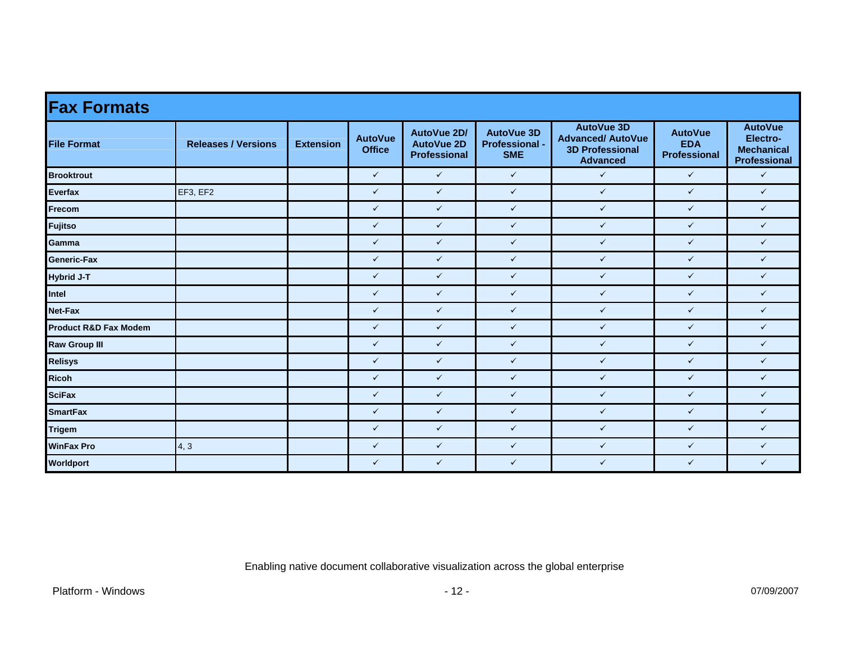| <b>Fax Formats</b>               |                            |                  |                                 |                                                  |                                                          |                                                                                            |                                                     |                                                                        |  |  |
|----------------------------------|----------------------------|------------------|---------------------------------|--------------------------------------------------|----------------------------------------------------------|--------------------------------------------------------------------------------------------|-----------------------------------------------------|------------------------------------------------------------------------|--|--|
| <b>File Format</b>               | <b>Releases / Versions</b> | <b>Extension</b> | <b>AutoVue</b><br><b>Office</b> | AutoVue 2D/<br><b>AutoVue 2D</b><br>Professional | <b>AutoVue 3D</b><br><b>Professional -</b><br><b>SME</b> | <b>AutoVue 3D</b><br><b>Advanced/ AutoVue</b><br><b>3D Professional</b><br><b>Advanced</b> | <b>AutoVue</b><br><b>EDA</b><br><b>Professional</b> | <b>AutoVue</b><br>Electro-<br><b>Mechanical</b><br><b>Professional</b> |  |  |
| <b>Brooktrout</b>                |                            |                  | $\checkmark$                    | $\checkmark$                                     | $\checkmark$                                             | $\checkmark$                                                                               | $\checkmark$                                        | $\checkmark$                                                           |  |  |
| <b>Everfax</b>                   | EF3, EF2                   |                  | $\checkmark$                    | $\checkmark$                                     | $\checkmark$                                             | $\checkmark$                                                                               | $\checkmark$                                        | $\checkmark$                                                           |  |  |
| Frecom                           |                            |                  | $\checkmark$                    | $\checkmark$                                     | $\checkmark$                                             | $\checkmark$                                                                               | $\checkmark$                                        | $\checkmark$                                                           |  |  |
| <b>Fujitso</b>                   |                            |                  | $\checkmark$                    | $\checkmark$                                     | $\checkmark$                                             | $\checkmark$                                                                               | $\checkmark$                                        | $\checkmark$                                                           |  |  |
| Gamma                            |                            |                  | $\checkmark$                    | $\checkmark$                                     | $\checkmark$                                             | $\checkmark$                                                                               | $\checkmark$                                        | $\checkmark$                                                           |  |  |
| Generic-Fax                      |                            |                  | $\checkmark$                    | $\checkmark$                                     | $\checkmark$                                             | $\checkmark$                                                                               | $\checkmark$                                        | $\checkmark$                                                           |  |  |
| Hybrid J-T                       |                            |                  | $\checkmark$                    | $\checkmark$                                     | $\checkmark$                                             | $\checkmark$                                                                               | $\checkmark$                                        | $\checkmark$                                                           |  |  |
| Intel                            |                            |                  | $\checkmark$                    | $\checkmark$                                     | $\checkmark$                                             | $\checkmark$                                                                               | $\checkmark$                                        | $\checkmark$                                                           |  |  |
| <b>Net-Fax</b>                   |                            |                  | $\checkmark$                    | $\checkmark$                                     | $\checkmark$                                             | $\checkmark$                                                                               | $\checkmark$                                        | $\checkmark$                                                           |  |  |
| <b>Product R&amp;D Fax Modem</b> |                            |                  | $\checkmark$                    | $\checkmark$                                     | $\checkmark$                                             | $\checkmark$                                                                               | $\checkmark$                                        | $\checkmark$                                                           |  |  |
| <b>Raw Group III</b>             |                            |                  | $\checkmark$                    | $\checkmark$                                     | $\checkmark$                                             | $\checkmark$                                                                               | $\checkmark$                                        | $\checkmark$                                                           |  |  |
| Relisys                          |                            |                  | $\checkmark$                    | $\checkmark$                                     | $\checkmark$                                             | $\checkmark$                                                                               | $\checkmark$                                        | $\checkmark$                                                           |  |  |
| <b>Ricoh</b>                     |                            |                  | $\checkmark$                    | $\checkmark$                                     | $\checkmark$                                             | $\checkmark$                                                                               | $\checkmark$                                        | $\checkmark$                                                           |  |  |
| <b>SciFax</b>                    |                            |                  | $\checkmark$                    | $\checkmark$                                     | $\checkmark$                                             | $\checkmark$                                                                               | $\checkmark$                                        | $\checkmark$                                                           |  |  |
| <b>SmartFax</b>                  |                            |                  | $\checkmark$                    | $\checkmark$                                     | $\checkmark$                                             | $\checkmark$                                                                               | $\checkmark$                                        | $\checkmark$                                                           |  |  |
| <b>Trigem</b>                    |                            |                  | $\checkmark$                    | $\checkmark$                                     | ✓                                                        | $\checkmark$                                                                               | $\checkmark$                                        | $\checkmark$                                                           |  |  |
| <b>WinFax Pro</b>                | 4, 3                       |                  | $\checkmark$                    | $\checkmark$                                     | $\checkmark$                                             | $\checkmark$                                                                               | $\checkmark$                                        | $\checkmark$                                                           |  |  |
| Worldport                        |                            |                  | $\checkmark$                    | $\checkmark$                                     | $\checkmark$                                             | $\checkmark$                                                                               | $\checkmark$                                        | $\checkmark$                                                           |  |  |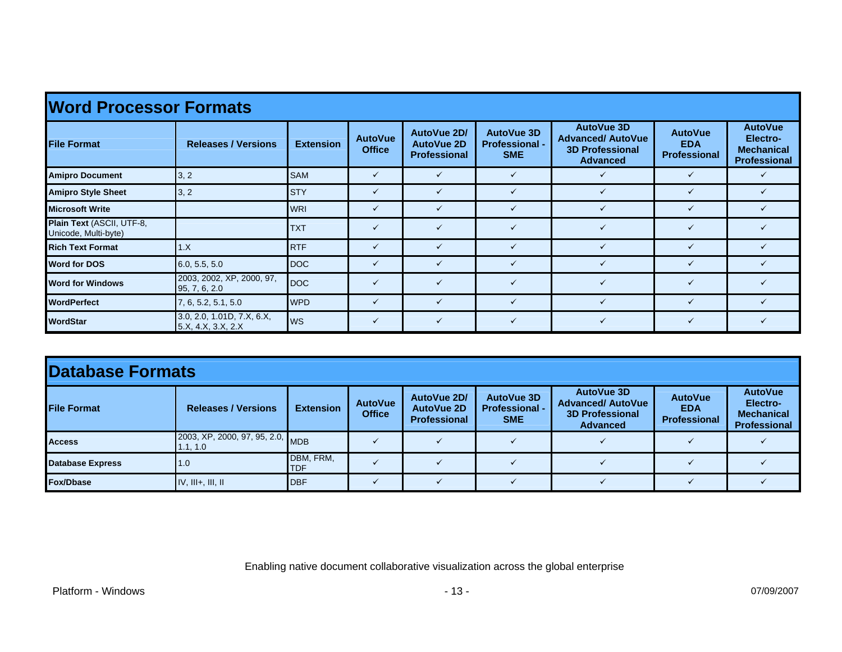| <b>Word Processor Formats</b>                     |                                                  |                  |                                 |                                                         |                                                   |                                                                                            |                                                     |                                                                        |  |  |  |
|---------------------------------------------------|--------------------------------------------------|------------------|---------------------------------|---------------------------------------------------------|---------------------------------------------------|--------------------------------------------------------------------------------------------|-----------------------------------------------------|------------------------------------------------------------------------|--|--|--|
| <b>File Format</b>                                | <b>Releases / Versions</b>                       | <b>Extension</b> | <b>AutoVue</b><br><b>Office</b> | AutoVue 2D/<br><b>AutoVue 2D</b><br><b>Professional</b> | AutoVue 3D<br><b>Professional -</b><br><b>SME</b> | <b>AutoVue 3D</b><br><b>Advanced/ AutoVue</b><br><b>3D Professional</b><br><b>Advanced</b> | <b>AutoVue</b><br><b>EDA</b><br><b>Professional</b> | <b>AutoVue</b><br>Electro-<br><b>Mechanical</b><br><b>Professional</b> |  |  |  |
| <b>Amipro Document</b>                            | 3, 2                                             | <b>SAM</b>       | $\checkmark$                    |                                                         | $\checkmark$                                      |                                                                                            | $\checkmark$                                        |                                                                        |  |  |  |
| <b>Amipro Style Sheet</b>                         | 3, 2                                             | <b>STY</b>       | $\checkmark$                    | ✓                                                       | ✓                                                 |                                                                                            | ✓                                                   |                                                                        |  |  |  |
| <b>Microsoft Write</b>                            |                                                  | <b>WRI</b>       | $\checkmark$                    | ✓                                                       | $\checkmark$                                      |                                                                                            | $\checkmark$                                        |                                                                        |  |  |  |
| Plain Text (ASCII, UTF-8,<br>Unicode, Multi-byte) |                                                  | <b>TXT</b>       | $\checkmark$                    | ✓                                                       | $\checkmark$                                      |                                                                                            | $\checkmark$                                        |                                                                        |  |  |  |
| <b>Rich Text Format</b>                           | 1.X                                              | <b>RTF</b>       | $\checkmark$                    | ✓                                                       | $\checkmark$                                      |                                                                                            | $\checkmark$                                        |                                                                        |  |  |  |
| <b>Word for DOS</b>                               | 6.0, 5.5, 5.0                                    | DOC              | $\checkmark$                    |                                                         | ✓                                                 |                                                                                            | $\checkmark$                                        |                                                                        |  |  |  |
| <b>Word for Windows</b>                           | 2003, 2002, XP, 2000, 97,<br>95, 7, 6, 2.0       | <b>DOC</b>       | $\checkmark$                    |                                                         | $\checkmark$                                      |                                                                                            |                                                     |                                                                        |  |  |  |
| <b>WordPerfect</b>                                | 7, 6, 5.2, 5.1, 5.0                              | <b>WPD</b>       | $\checkmark$                    |                                                         | ✓                                                 |                                                                                            |                                                     |                                                                        |  |  |  |
| <b>WordStar</b>                                   | 3.0, 2.0, 1.01D, 7.X, 6.X,<br>5.X, 4.X, 3.X, 2.X | <b>WS</b>        | $\checkmark$                    |                                                         | $\checkmark$                                      |                                                                                            | $\checkmark$                                        |                                                                        |  |  |  |

| Database Formats        |                                              |                         |                                 |                                                         |                                                   |                                                                                     |                                                     |                                                                        |  |
|-------------------------|----------------------------------------------|-------------------------|---------------------------------|---------------------------------------------------------|---------------------------------------------------|-------------------------------------------------------------------------------------|-----------------------------------------------------|------------------------------------------------------------------------|--|
| <b>File Format</b>      | <b>Releases / Versions</b>                   | <b>Extension</b>        | <b>AutoVue</b><br><b>Office</b> | AutoVue 2D/<br><b>AutoVue 2D</b><br><b>Professional</b> | AutoVue 3D<br><b>Professional -</b><br><b>SME</b> | AutoVue 3D<br><b>Advanced/ AutoVue</b><br><b>3D Professional</b><br><b>Advanced</b> | <b>AutoVue</b><br><b>EDA</b><br><b>Professional</b> | <b>AutoVue</b><br>Electro-<br><b>Mechanical</b><br><b>Professional</b> |  |
| <b>Access</b>           | 2003, XP, 2000, 97, 95, 2.0, MDB<br>1.1, 1.0 |                         |                                 |                                                         |                                                   |                                                                                     |                                                     |                                                                        |  |
| <b>Database Express</b> | 1.0                                          | DBM, FRM,<br><b>TDF</b> |                                 |                                                         |                                                   |                                                                                     |                                                     |                                                                        |  |
| Fox/Dbase               | $IV, III+, III, II$                          | <b>DBF</b>              |                                 |                                                         |                                                   |                                                                                     |                                                     |                                                                        |  |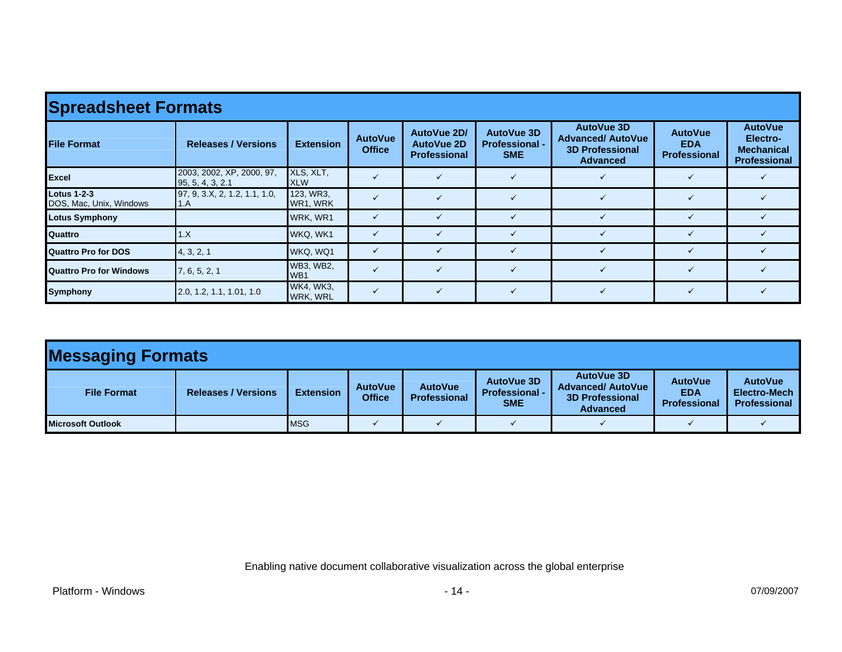| <b>Spreadsheet Formats</b>                    |                                               |                                     |                                 |                                                         |                                                          |                                                                                            |                                                     |                                                                 |  |  |  |
|-----------------------------------------------|-----------------------------------------------|-------------------------------------|---------------------------------|---------------------------------------------------------|----------------------------------------------------------|--------------------------------------------------------------------------------------------|-----------------------------------------------------|-----------------------------------------------------------------|--|--|--|
| <b>File Format</b>                            | <b>Releases / Versions</b>                    | <b>Extension</b>                    | <b>AutoVue</b><br><b>Office</b> | AutoVue 2D/<br><b>AutoVue 2D</b><br><b>Professional</b> | <b>AutoVue 3D</b><br><b>Professional -</b><br><b>SME</b> | <b>AutoVue 3D</b><br><b>Advanced/ AutoVue</b><br><b>3D Professional</b><br><b>Advanced</b> | <b>AutoVue</b><br><b>EDA</b><br><b>Professional</b> | <b>AutoVue</b><br>Electro-<br><b>Mechanical</b><br>Professional |  |  |  |
| Excel                                         | 2003, 2002, XP, 2000, 97,<br>95, 5, 4, 3, 2.1 | XLS, XLT,<br><b>XLW</b>             |                                 |                                                         | ✓                                                        |                                                                                            |                                                     |                                                                 |  |  |  |
| <b>Lotus 1-2-3</b><br>DOS, Mac, Unix, Windows | 97, 9, 3.X, 2, 1.2, 1.1, 1.0,<br>1.A          | 123, WR3,<br>WR1, WRK               |                                 |                                                         | $\checkmark$                                             |                                                                                            | $\checkmark$                                        |                                                                 |  |  |  |
| <b>Lotus Symphony</b>                         |                                               | WRK, WR1                            | $\checkmark$                    |                                                         |                                                          |                                                                                            |                                                     |                                                                 |  |  |  |
| <b>Quattro</b>                                | 1.X                                           | WKQ, WK1                            | $\checkmark$                    |                                                         |                                                          |                                                                                            |                                                     |                                                                 |  |  |  |
| <b>Quattro Pro for DOS</b>                    | 4, 3, 2, 1                                    | WKQ, WQ1                            | $\checkmark$                    |                                                         |                                                          |                                                                                            |                                                     |                                                                 |  |  |  |
| <b>Quattro Pro for Windows</b>                | 7, 6, 5, 2, 1                                 | <b>WB3, WB2,</b><br>WB <sub>1</sub> |                                 |                                                         |                                                          |                                                                                            |                                                     |                                                                 |  |  |  |
| <b>Symphony</b>                               | 2.0, 1.2, 1.1, 1.01, 1.0                      | <b>WK4, WK3,</b><br><b>WRK, WRL</b> | $\checkmark$                    |                                                         | ✓                                                        |                                                                                            | $\checkmark$                                        |                                                                 |  |  |  |

| <b>Messaging Formats</b> |                            |                  |                                 |                                       |                                                   |                                                                                     |                                              |                                                       |  |
|--------------------------|----------------------------|------------------|---------------------------------|---------------------------------------|---------------------------------------------------|-------------------------------------------------------------------------------------|----------------------------------------------|-------------------------------------------------------|--|
| <b>File Format</b>       | <b>Releases / Versions</b> | <b>Extension</b> | <b>AutoVue</b><br><b>Office</b> | <b>AutoVue</b><br><b>Professional</b> | AutoVue 3D<br><b>Professional -</b><br><b>SME</b> | AutoVue 3D<br><b>Advanced/ AutoVue</b><br><b>3D Professional</b><br><b>Advanced</b> | <b>AutoVue</b><br><b>EDA</b><br>Professional | <b>AutoVue</b><br>Electro-Mech<br><b>Professional</b> |  |
| <b>Microsoft Outlook</b> |                            | <b>MSG</b>       |                                 |                                       |                                                   |                                                                                     |                                              |                                                       |  |